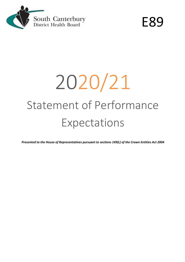

E89

# 2020/21 Statement of Performance Expectations

*Presented to the House of Representatives pursuant to sections 149(L) of the Crown Entities Act 2004*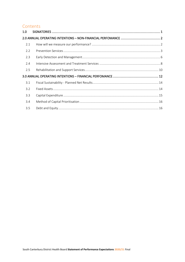# Contents

| 1.0 <sub>1</sub> |  |
|------------------|--|
|                  |  |
| 2.1              |  |
| 2.2              |  |
| 2.3              |  |
| 2.4              |  |
| 2.5              |  |
|                  |  |
| 3.1              |  |
| 3.2              |  |
| 3.3              |  |
| 3.4              |  |
| 3.5              |  |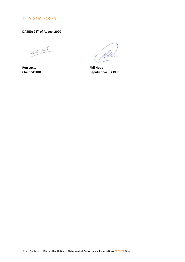# <span id="page-2-0"></span>1. SIGNATORIES

**DATED: 28th of August 2020**

rent

**Ron Luxton Phil Hope** 

**Chair, SCDHB Deputy Chair, SCDHB**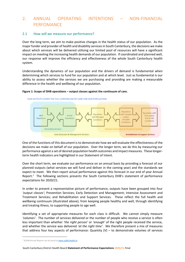# <span id="page-3-0"></span>2. ANNUAL OPERATING INTENTIONS – NON-FINANCIAL PERFOMANCE

# <span id="page-3-1"></span>2.1 How will we measure our performance?

Over the long term, we aim to make positive changes in the health status of our population. As the major funder and provider of health and disability services in South Canterbury, the decisions we make about which services will be delivered utilising our limited pool of resources will have a significant impact on meeting the increasing health demands of our population. If coordinated and planned well, our response will improve the efficiency and effectiveness of the whole South Canterbury health system.

Understanding the dynamics of our population and the drivers of demand is fundamental when determining which services to fund for our population and at which level. Just as fundamental is our ability to assess whether the services we are purchasing and providing are making a measurable difference in the health and wellbeing of our population.

#### **Figure 1: Scope of DHB operations – output classes against the continuum of care.**



OUR OUTPUTS COVER THE FULL CONTINUUM OF CARE FOR OUR POPULATION.

One of the functions of this document is to demonstrate how we will evaluate the effectiveness of the decisions we make on behalf of our population. Over the longer term, we do this by measuring our performance against a set of desired population health outcomes and impact measures. These longerterm health indicators are highlighted in our Statement of Intent.

Over the short term, we evaluate our performance on an annual basis by providing a forecast of our planned outputs (what services we will fund and deliver in the coming year) and the standards we expect to meet. We then report actual performance against this forecast in our end of year Annual Report.<sup>1</sup> The following sections presents the South Canterbury DHB's statement of performance expectations for 2020/21.

In order to present a representative picture of performance, outputs have been grouped into four *'output classes'*; Prevention Services; Early Detection and Management; Intensive Assessment and Treatment Services; and Rehabilitation and Support Services. These reflect the full health and wellbeing continuum (illustrated above); from keeping people healthy and well, through identifying and treating illness, to supporting people to age well.

Identifying a set of appropriate measures for each class is difficult. We cannot simply measure *'volumes'*. The number of services delivered or the number of people who receive a service is often less important than whether *'the right person'* or *'enough'* of the right people received the service, and whether the service was delivered *'at the right time'*. We therefore present a mix of measures that address four key aspects of performance: Quantity  $(V)$  – to demonstrate volumes of services

*<sup>1</sup> SCDHB Annual Reports can be found a[t www.scdhb.health.nz](http://www.scdhb.health.nz/)*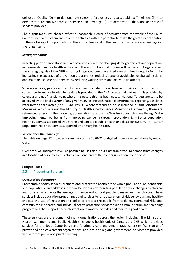delivered; Quality  $(Q)$  – to demonstrate safety, effectiveness and acceptability; Timeliness (T) – to demonstrate responsive access to services; and Coverage (C) – to demonstrate the scope and scale of services provided.

The output measures chosen reflect a reasonable picture of activity across the whole of the South Canterbury health system and cover the activities with the potential to make the greatest contribution to the wellbeing of our population in the shorter term and to the health outcomes we are seeking over the longer term.

# *Setting standards*

In setting performance standards, we have considered the changing demographics of our population, increasing demand for health services and the assumption that funding will be limited. Targets reflect the strategic goals of the DHB ensuring integrated person-centred care and health equity for all by increasing the coverage of prevention programmes, reducing acute or avoidable hospital admissions, and maintaining access to services by reducing waiting times and delays in treatment.

Where available, past years' results have been included in our forecast to give context in terms of current performance levels. Some data is provided to the DHB by external parties and is provided by calendar and not financial year, where this occurs this has been noted. National Targets are set to be achieved by the final quarter of any given year. In line with national performance reporting, baselines refer to the final quarter (April – June) result. Where measures are also included in 'DHB Performance Measures' which sets out the Ministry of Health's Performance Monitoring Framework, these are referenced as such. The following abbreviations are used: CW – Improving child wellbeing, MH – Improving mental wellbeing, PV – Improving wellbeing through prevention, SS – Better population health outcomes supported by a strong and equitable public health and disability system, PH – Better population health outcomes supported by primary health care.

# *Where does the money go?*

The table on page 12 provides a summary of the 2020/21 budgeted financial expectations by output class.

Over time, we anticipate it will be possible to use this output class framework to demonstrate changes in allocation of resources and activity from one end of the continuum of care to the other.

# **Output Class**

# <span id="page-4-0"></span>2.2 Prevention Services

# *Output class description*

Preventative health services promote and protect the health of the whole population, or identifiable sub-populations, and address individual behaviours by targeting population-wide changes to physical and social environments that engage, influence and support people to make healthier choices. These services include education programmes and services to raise awareness of risk behaviours and healthy choices, the use of legislation and policy to protect the public from toxic environmental risks and communicable diseases, and individual health protection services such as immunisation and screening programmes that support early intervention to modify lifestyles and maintain good health.

These services are the domain of many organisations across the region including: The Ministry of Health; Community and Public Health (the public health unit of Canterbury DHB which provides services for the South Canterbury region); primary care and general practice; a significant array of private and non-government organisations; and local and regional government. Services are provided with a mix of public and private funding.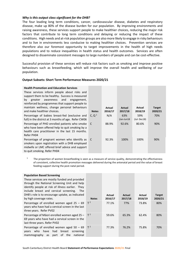#### *Why is this output class significant for the DHB?*

The four leading long term conditions, cancer, cardiovascular disease, diabetes and respiratory disease, make up 80% of the disease burden for our population. By improving environments and raising awareness, these services support people to make healthier choices, reducing the major risk factors that contribute to long term conditions and delaying or reducing the impact of these conditions. High needs and at-risk population groups are also more likely to engage in risky behaviours and to live in environments less conducive to making healthier choices. Prevention services are therefore also our foremost opportunity to target improvements in the health of high needs populations and to reduce inequalities in health status and health outcomes. Services are often designed to disseminate consistent messages to large numbers of people and can be cost-effective.

Successful provision of these services will reduce risk factors such as smoking and improve positive behaviours such as breastfeeding, which will improve the overall health and wellbeing of our population.

#### **Output Subsets: Short Term Performance Measures 2020/21**

| <b>Health Promotion and Education Services</b>                                                                                                                                  |                   |                   |                   |             |                          |
|---------------------------------------------------------------------------------------------------------------------------------------------------------------------------------|-------------------|-------------------|-------------------|-------------|--------------------------|
| These services inform people about risks and                                                                                                                                    |                   |                   |                   |             |                          |
| support them to be healthy. Success is measured                                                                                                                                 |                   |                   |                   |             |                          |
| greater<br>awareness and<br>by<br>engagement,                                                                                                                                   |                   |                   |                   |             |                          |
| reinforced by programmes that support people to<br>maintain wellness, change personal behaviours                                                                                |                   |                   |                   | Actual      |                          |
| and make healthier choices.                                                                                                                                                     | <b>Notes</b>      | Actual<br>2016/17 | Actual<br>2017/18 | 2018/19     | <b>Target</b><br>2020/21 |
| Percentage of babies breast-fed (exclusive and                                                                                                                                  | C, Q <sup>1</sup> | N/A               | 63%               | 59%         | 70%                      |
| full) in the district at 3 months of age. Refer CW06                                                                                                                            |                   |                   | (Jan-Jun18        | (Jul-Dec18) |                          |
| Percentage of PHO enrolled patients who smoke<br>who have been offered help to quit smoking by a<br>health care practitioner in the last 15 months.<br>Refer PH04               | <sup>C</sup>      | 88.9%             | 92.6%             | 80.6%       | 90%                      |
| Percentage of pregnant women who identify as<br>smokers upon registration with a DHB employed<br>midwife or LMC offered brief advice and support<br>to quit smoking. Refer PH04 | C                 | 92.3%             | 100%              | 100%        | 90%                      |

1 The proportion of women breastfeeding is seen as a measure of service quality, demonstrating the effectiveness of consistent, collective health promotion messages delivered during the antenatal period and the value of breast feeding support during the post-natal period.

| <b>Population Based Screening</b><br>These services are mostly funded and provided<br>through the National Screening Unit and help<br>identify people at risk of illness earlier. They<br>include breast and cervical screening.<br>- The<br>DHB's role is to encourage uptake, as indicated<br>by high coverage rates. | <b>Notes</b> | Actual<br>2016/17 | Actual<br>2017/18 | Actual<br>2018/19 | <b>Target</b><br>2020/21 |
|-------------------------------------------------------------------------------------------------------------------------------------------------------------------------------------------------------------------------------------------------------------------------------------------------------------------------|--------------|-------------------|-------------------|-------------------|--------------------------|
| Percentage of enrolled women aged $25 - 69$<br>years who have had a cervical screen in the last<br>three years. Refer PV02                                                                                                                                                                                              | $T^2$        | 77.1%             | 77%               | 73.8%             | 80%                      |
| Percentage of Māori enrolled women aged 25 -<br>69 years who have had a cervical screen in the<br>last three years. Refer PV02                                                                                                                                                                                          | $T^2$        | 59.6%             | 65.3%             | 62.4%             | 80%                      |
| Percentage of enrolled women aged $50 - 69$<br>who have had<br>breast<br>screening<br>years<br>part of<br>the<br>mammography<br>national<br>as                                                                                                                                                                          | $T^2$        | 77.3%             | 76.2%             | 75.8%             | 70%                      |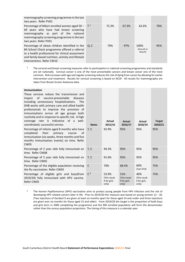| mammography screening programme in the last<br>two years. Refer PV01                                                                                                                                                                  |     |       |       |                              |     |
|---------------------------------------------------------------------------------------------------------------------------------------------------------------------------------------------------------------------------------------|-----|-------|-------|------------------------------|-----|
| Percentage of Māori enrolled women aged $50 - 17^2$<br>69 years who have had breast screening<br>mammography as part of the national<br>mammography screening programme in the last<br>two years. Refer PV01                          |     | 72.3% | 67.3% | 62.6%                        | 70% |
| Percentage of obese children identified in the<br>B4 School Check programme offered a referral<br>to a health professional for clinical assessment<br>and family-based nutrition, activity and lifestyle<br>interventions. Refer CW10 | O.C | 79%   | 97%   | 100%<br>(6month to<br>May19) | 95% |

2 The cervical and breast screening measures refer to participation in national screening programmes and standards are set nationally. Cervical cancer is one of the most preventable cancers and breast cancer one of the most common. Risk increases with age and regular screening reduces the risk of dying from cancer by allowing for earlier intervention and treatment. Results for cervical screening is based on NCSP. All results for mammography are taken from Breast Screen Aotearoa data.

| <b>Immunisation</b>                                                                                                                                                                                   |                |                                                |                                              |                                              |                          |
|-------------------------------------------------------------------------------------------------------------------------------------------------------------------------------------------------------|----------------|------------------------------------------------|----------------------------------------------|----------------------------------------------|--------------------------|
| These services reduce the transmission and<br>of<br>vaccine-preventable<br>diseases<br>impact                                                                                                         |                |                                                |                                              |                                              |                          |
| including unnecessary hospitalisations.<br><b>The</b>                                                                                                                                                 |                |                                                |                                              |                                              |                          |
| DHB works with primary care and allied health<br>professionals to improve the provision of                                                                                                            |                |                                                |                                              |                                              |                          |
| immunisations across all age groups both                                                                                                                                                              |                |                                                |                                              |                                              |                          |
| routinely and in response to specific risk. A high<br>rate is indicative of a well-                                                                                                                   |                |                                                |                                              |                                              |                          |
| coverage<br>coordinated, successful service.                                                                                                                                                          | <b>Notes</b>   | Actual<br>2015/16                              | Actual<br>2016/17                            | Actual<br>2018/19                            | <b>Target</b><br>2020/21 |
| Percentage of infants aged 8 months who have<br>completed<br>their<br>primary<br>course<br>of<br>immunisation (six weeks, three months and five<br>months immunisation events) on time. Refer<br>CW05 | T, C           | 92.9%                                          | 95%                                          | 95%                                          | 95%                      |
| Percentage of 2 year olds fully immunised on<br>time. Refer CW08                                                                                                                                      | T, C           | 94.3%                                          | 95%                                          | 95%                                          | 95%                      |
| Percentage of 5 year olds fully immunised on<br>time. Refer CW05                                                                                                                                      | T, C           | 91.6%                                          | 95%                                          | 93%                                          | 95%                      |
| Percentage of the eligible population receiving<br>the flu vaccination. Refer CW05                                                                                                                    | C              | 70%                                            | 68.4%                                        | 60%<br>(Sept 2018)                           | 75%                      |
| Percentage of eligible girls and boys(from<br>2019/20) fully immunised with HPV vaccine.<br>Refer CW05                                                                                                | C <sup>4</sup> | 53.9%<br>(This result<br>if for girls<br>only) | 51%<br>(This result<br>if for girls<br>only) | 40%<br>(This result<br>if for girls<br>only) | 75%                      |
|                                                                                                                                                                                                       |                |                                                |                                              |                                              |                          |

<sup>4.</sup> The Human Papillomavirus (HPV) vaccination aims to protect young people from HPV infection and the risk of developing HPV related cancers later in life. Prior to 2019/20 this measure was based on young women 12 - 18. (Two injections of Gardasil 9 are given at least six months apart for those aged 14 and under and three injections are given over six months for those aged 15 and older). From 2019/20 the target is the proportion of both boys and girls born in 2006 completing the programme and the NIR enrolled population will form the denominator rather than the census population projections. The timing of this measure is a calendar year.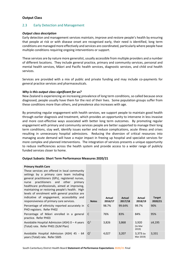# **Output Class**

# <span id="page-7-0"></span>2.3 Early Detection and Management

#### *Output class description*

Early detection and management services maintain, improve and restore people's health by ensuring that people at risk or with disease onset are recognised early, their need is identified, long term conditions are managed more effectively and services are coordinated, particularly where people have multiple conditions requiring ongoing interventions or support.

These services are by nature more generalist, usually accessible from multiple providers and a number of different locations. They include general practice, primary and community services, personal and mental health services, Māori and Pacific health services, diagnostic services, and child oral health services.

Services are provided with a mix of public and private funding and may include co-payments for general practice services and pharmaceuticals.

#### *Why is this output class significant for us?*

New Zealand is experiencing an increasing prevalence of long term conditions, so called because once diagnosed, people usually have them for the rest of their lives. Some population groups suffer from these conditions more than others, and prevalence also increases with age.

By promoting regular engagement with health services, we support people to maintain good health through earlier diagnosis and treatment, which provides an opportunity to intervene in less invasive and more cost-effective ways associated with better long term outcomes. By promoting regular engagement with primary and community services people are better supported to manage their long term conditions, stay well, identify issues earlier and reduce complications, acute illness and crises resulting in unnecessary hospital admissions. Reducing the diversion of critical resources into managing acute demand will have a major impact in freeing up hospital and specialist services for more complex and planned interventions. The integration of services presents a unique opportunity to reduce inefficiencies across the health system and provide access to a wider range of publicly funded services closer to home.

**Contract Contract** 

#### **Output Subsets: Short Term Performance Measures 2020/21**

# **Primary Health Career**

| Primary Health Care<br>These services are offered in local community<br>settings by a primary care team including<br>general practitioners (GPs), registered nurses,<br>practitioners and other<br>primary<br>nurse<br>healthcare professionals, aimed at improving,<br>maintaining or restoring people's health. High<br>levels of enrolment with general practice are<br>indicative of engagement, accessibility and<br>responsiveness of primary care services. | <b>Notes</b>   | Actual<br>2016/17 | <b>Actual</b><br>2017/18 | Actual<br>2018/19         | <b>Target</b><br>2020/21 |
|--------------------------------------------------------------------------------------------------------------------------------------------------------------------------------------------------------------------------------------------------------------------------------------------------------------------------------------------------------------------------------------------------------------------------------------------------------------------|----------------|-------------------|--------------------------|---------------------------|--------------------------|
| Percentage of ethnicity reported accurately in<br>PHO registers. Refer PH02                                                                                                                                                                                                                                                                                                                                                                                        | C              | 98.7%             | 99.64%                   | 99.7%                     | 90%                      |
| Percentage of Māori enrolled in a general<br>practice. Refer PH03                                                                                                                                                                                                                                                                                                                                                                                                  | C              | 76%               | 83%                      | 84%                       | 95%                      |
| Avoidable Hospital Admission (ASH) 0 - 4 years<br>(Total) rate. Refer PH01 (SLM Plan)                                                                                                                                                                                                                                                                                                                                                                              | Q <sup>1</sup> | 3,826             | 3,868                    | 3,920<br>(to Mar<br>2019) | ≤4,195                   |
| Avoidable Hospital Admission (ASH) 45 - 64<br>years (Total) rate. Refer SS05                                                                                                                                                                                                                                                                                                                                                                                       | $Q^1$          | 4,027             | 3,207                    | 3,373 (to<br>Mar 2019)    | 3,331                    |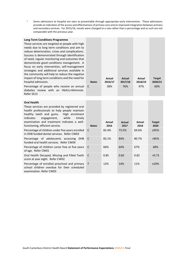<sup>1.</sup> Some admissions to hospital are seen as preventable through appropriate early intervention. These admissions provide an indication of the access and effectiveness of primary care and an improved integration between primary and secondary services. For 2015/16, results were changed to a rate rather than a percentage and as such are not comparable with the previous year.

| <b>Long Term Conditions Programme</b><br>These services are targeted at people with high<br>needs due to long term conditions and aim to<br>reduce deterioration, crises and complications.<br>Success is demonstrated through identification<br>of need, regular monitoring and outcomes that<br>demonstrate good conditions management. A<br>focus on early intervention, self-management<br>strategies and additional services available in<br>the community will help to reduce the negative<br>impact of long term conditions and the need for<br>hospital admission. | <b>Notes</b> | Actual<br>2016/17 | <b>Actual</b><br>2017/18 | Actual<br>2018/19 | <b>Target</b><br>2020/21 |
|----------------------------------------------------------------------------------------------------------------------------------------------------------------------------------------------------------------------------------------------------------------------------------------------------------------------------------------------------------------------------------------------------------------------------------------------------------------------------------------------------------------------------------------------------------------------------|--------------|-------------------|--------------------------|-------------------|--------------------------|
| Percentage of people who receive an annual<br>diabetes review with an HbA1c<64mmols.<br>Refer SS13                                                                                                                                                                                                                                                                                                                                                                                                                                                                         | C            | 38%               | 76%                      | 97%               | 60%                      |

| <b>Oral Health</b>                                                                                                     |              |        |        |        |               |
|------------------------------------------------------------------------------------------------------------------------|--------------|--------|--------|--------|---------------|
| These services are provided by registered oral                                                                         |              |        |        |        |               |
| health professionals to help people maintain                                                                           |              |        |        |        |               |
| healthy teeth and gums. High enrolment<br>engagement, while<br>timely<br>indicates                                     |              |        |        |        |               |
| examination and treatment indicates a well-                                                                            |              | Actual | Actual | Actual | <b>Target</b> |
| functioning, efficient service.                                                                                        | <b>Notes</b> | 2016   | 2017   | 2018   | 2020          |
| Percentage of children under five years enrolled<br>in DHB funded dental services. Refer CW03                          | C            | 82.4%  | 73.5%  | 69.6%  | >95%          |
| Percentage of adolescents accessing DHB<br>funded oral health services. Refer CW04                                     | C            | 83.1%  | 84%    | 80.7%  | >85%          |
| Percentage of children caries free at five years<br>of age. Refer CW01                                                 | C            | 66%    | 64%    | 67%    | 68%           |
| Oral Health Decayed, Missing and Filled Teeth<br>score at year eight. Refer CW02                                       | C            | 0.85   | 0.82   | 0.82   | < 0.73        |
| Percentage of enrolled preschool and primary<br>school children overdue for their scheduled<br>examination. Refer CW03 | $\mathsf{T}$ | 12%    | 14%    | 11%    | $\leq 10\%$   |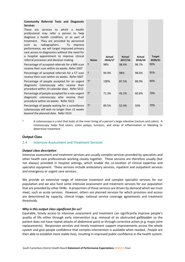| Community Referred Tests and Diagnostic<br><b>Services</b><br>These are<br>services to which<br>health<br>$\overline{a}$<br>professional may refer a person to help<br>diagnose a health condition, or as part of<br>They are provided by personnel<br>treatment.<br>radiographers.<br>such<br>To<br>as,<br>improve<br>performance, we will target improved primary<br>care access to diagnostics without the need for<br>a hospital appointment to improve clinical |                              | Actual         | Actual           | Actual           | <b>Target</b>  |
|----------------------------------------------------------------------------------------------------------------------------------------------------------------------------------------------------------------------------------------------------------------------------------------------------------------------------------------------------------------------------------------------------------------------------------------------------------------------|------------------------------|----------------|------------------|------------------|----------------|
| referral processes and decision making.                                                                                                                                                                                                                                                                                                                                                                                                                              | <b>Notes</b><br>$\mathsf{T}$ | 2016/17<br>98% | 2017/18<br>98.4% | 2018/19<br>98.7% | 2020/21<br>90% |
| Percentage of accepted referrals for a MRI scan<br>receive their scan within six weeks. Refer SS07                                                                                                                                                                                                                                                                                                                                                                   |                              |                |                  |                  |                |
| Percentage of accepted referrals for a CT scan<br>receive their scan within six weeks. Refer SS07                                                                                                                                                                                                                                                                                                                                                                    | $\mathsf{T}$                 | 94.9%          | 98%              | 98.6%            | 95%            |
| Percentage of people accepted for an urgent<br>diagnostic colonoscopy who receive their<br>procedure within 14 calendar days. Refer SS15                                                                                                                                                                                                                                                                                                                             | $T^3$                        | 100%           | 87.5%            | 88.9%            | 90%            |
| Percentage of people accepted for a non-urgent<br>diagnostic colonoscopy who receive their<br>procedure within six weeks. Refer SS15                                                                                                                                                                                                                                                                                                                                 | $T^3$                        | 71.3%          | 45.2%            | 60.6%            | 70%            |
| Percentage of people waiting for a surveillance<br>colonoscopy will wait no longer than 12 weeks<br>beyond the planned date. Refer SS15                                                                                                                                                                                                                                                                                                                              | $T^3$                        | 89.5%          | 52.4%            | 50%              | 70%            |

<sup>3.</sup> A colonoscopy is a test that looks at the inner lining of a person's large intestine (rectum and colon). A colonoscopy helps find ulcers, colon polyps, tumours, and areas of inflammation or bleeding to determine treatment

# **Output Class**

# <span id="page-9-0"></span>2.4 Intensive Assessment and Treatment Services

#### *Output class description*

Intensive assessment and treatment services are usually complex services provided by specialists and other health care professionals working closely together. These services are therefore usually (but not always) provided in hospital settings, which enable the co-location of clinical expertise and specialist equipment. These services include ambulatory services, inpatient and outpatient services and emergency or urgent care services.

We provide an extensive range of intensive treatment and complex specialist services for our population and we also fund some intensive assessment and treatment services for our population that are provided by other DHBs. A proportion of these services are driven by demand which we must meet, such as acute services. However, others are planned services for which provision and access are determined by capacity, clinical triage, national service coverage agreements and treatment thresholds.

#### *Why is this output class significant for us?*

Equitable, timely access to intensive assessment and treatment can significantly improve people's quality of life either through early intervention (e.g. removal of an obstructed gallbladder so the patient does not have repeat attacks of abdominal pain) or through corrective action (e.g. major joint replacements). Responsive services and timely treatment support improvements across the whole system and give people confidence that complex intervention is available when needed. People are then able to establish more stable lives, resulting in improved public confidence in the health system.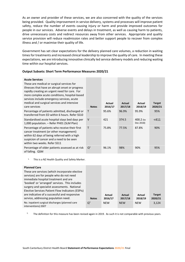As an owner and provider of these services, we are also concerned with the quality of the services being provided. Quality improvement in service delivery, systems and processes will improve patient safety, reduce the number of events causing injury or harm and provide improved outcomes for people in our services. Adverse events and delays in treatment, as well as causing harm to patients, drive unnecessary costs and redirect resources away from other services. Appropriate and quality service provision will reduce readmission rates and better support people to recover from complex illness and / or maximise their quality of life.

Government has set clear expectations for the delivery planned care volumes, a reduction in waiting times for treatments and increased clinical leadership to improve the quality of care. In meeting these expectations, we are introducing innovative clinically led service delivery models and reducing waiting time within our hospital services.

# **Output Subsets: Short Term Performance Measures 2020/21**

| <b>Acute Services</b><br>These are medical or surgical services for<br>illnesses that have an abrupt onset or progress<br>rapidly creating an urgent need for care. For<br>more complex acute conditions, hospital-based<br>services include emergency services, acute<br>medical and surgical services and intensive<br>care services | <b>Notes</b>   | Actual<br>2016/17 | Actual<br>2017/18 | Actual<br>2018/19      | <b>Target</b><br>2020/21 |
|----------------------------------------------------------------------------------------------------------------------------------------------------------------------------------------------------------------------------------------------------------------------------------------------------------------------------------------|----------------|-------------------|-------------------|------------------------|--------------------------|
| Percentage of patients admitted, discharged or<br>transferred from ED within 6 hours. Refer SS10                                                                                                                                                                                                                                       | т              | 95.6%             | 96.9%             | 95.9%                  | 95%                      |
| Standardised acute hospital stays bed days per<br>1,000 population. - Refer PH01 (SLM Plan)                                                                                                                                                                                                                                            | $\vee$         | 421               | 374.5             | 400.2 (to<br>Dec 2018) | < 411                    |
| Percentage of patients who receive their first<br>cancer treatment (or other management)<br>within 62 days of being referred with a high<br>suspicion of cancer and a need to be seen<br>within two weeks. Refer SS11                                                                                                                  | T              | 75.8%             | 77.5%             | 87.8%                  | 90%                      |
| Percentage of older patients assessed as at risk<br>of falling. QSM                                                                                                                                                                                                                                                                    | Q <sup>1</sup> | 96.1%             | 98%               | 90%                    | 95%                      |

<sup>1.</sup> This is a NZ Health Quality and Safety Marker.

#### **Planned Care**

| Pidrineu Care                                                          |                |            |            |            |               |
|------------------------------------------------------------------------|----------------|------------|------------|------------|---------------|
| These are services (which incorporate elective                         |                |            |            |            |               |
| services) are for people who do not need                               |                |            |            |            |               |
| immediate hospital treatment and are                                   |                |            |            |            |               |
| 'booked' or 'arranged' services. This includes                         |                |            |            |            |               |
| surgery and specialist assessments. National                           |                |            |            |            |               |
| Elective Services Patient Flow Indicators (ESPIs)                      |                |            |            |            |               |
| are indicative of a successful and responsive                          |                | Actual     | Actual     | Actual     | <b>Target</b> |
| service, addressing population need.                                   | <b>Notes</b>   | 2016/17    | 2017/18    | 2018/19    | 2020/21       |
| No. inpatient surgical discharges (planned care<br>interventions).SS07 | Q <sup>1</sup> | <b>NEW</b> | <b>NEW</b> | <b>NEW</b> | 3,124         |

**College** 

**Contract Contract Contract** 

1. The definition for this measure has been revised again in 2019. As such it is not comparable with previous years.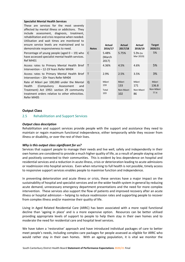| <b>Specialist Mental Health Services</b><br>These are services for the most severely<br>affected by mental illness or addictions. They<br>include assessment, diagnosis, treatment,<br>rehabilitation and crisis response when needed.<br>Utilisation and wait times are monitored to<br>ensure service levels are maintained and to<br>demonstrate responsiveness to need. | <b>Notes</b> | Actual<br>2016/17            | Actual<br>2017/18                | Actual<br>2018/19               | <b>Target</b><br>2020/21            |
|-----------------------------------------------------------------------------------------------------------------------------------------------------------------------------------------------------------------------------------------------------------------------------------------------------------------------------------------------------------------------------|--------------|------------------------------|----------------------------------|---------------------------------|-------------------------------------|
| Percentage of young people (aged $0 - 19$ ) who<br>have accessed specialist mental health services.<br>Ref MH01                                                                                                                                                                                                                                                             | C            | 5.48%<br>(March<br>2017)     | 5.75%                            | 5.9% (to<br>Mar 2019)           | 5%                                  |
| Access rates to Primary Mental Health Brief<br>Intervention – 12-19 Years Refer MH04                                                                                                                                                                                                                                                                                        | $\mathsf{T}$ | 4.36%                        | 4.5%                             | 4.6%                            | 5%                                  |
| Access rates to Primary Mental Health Brief<br>Intervention – 20+ Years Refer MH04                                                                                                                                                                                                                                                                                          | $\mathsf{T}$ | 2.9%                         | 2.5%                             | 3.5%                            | 3%                                  |
| Rate of Māori per 100,000 under the Mental<br>(Compulsory<br>Health<br>Assessment<br>and<br>Treatment) Act 1992: section 29 community<br>treatment orders relative to other ethnicities.<br>Refer MH05                                                                                                                                                                      | O            | Māori<br>159<br>Total<br>103 | Māori<br>133<br>Non-Maori<br>102 | Māori<br>171<br>Non-Maori<br>86 | Māori<br>136.8<br>Non-Māori<br>77.4 |

# **Output Class**

#### <span id="page-11-0"></span>2.5 Rehabilitation and Support Services

#### *Output class description*

Rehabilitation and support services provide people with the support and assistance they need to maintain or regain maximum functional independence, either temporarily while they recover from illness or disability, or over the rest of their lives.

# *Why is this output class significant for us?*

Services that support people to manage their needs and live well, safely and independently in their own homes are considered to provide a much higher quality of life, as a result of people staying active and positively connected to their communities. This is evident by less dependence on hospital and residential services and a reduction in acute illness, crisis or deterioration leading to acute admissions or readmission into hospital services. Even when returning to full health is not possible, timely access to responsive support services enables people to maximise function and independence.

In preventing deterioration and acute illness or crisis, these services have a major impact on the sustainability of hospital and specialist services and on the wider health system in general by reducing acute demand, unnecessary emergency department presentations and the need for more complex intervention. These services also support the flow of patients and improved recovery after an acute illness or hospital admission – helping to reduce readmission rates and supporting people to recover from complex illness and/or maximise their quality of life.

Living in Aged Related Residential Care (ARRC) has been associated with a more rapid functional decline than 'ageing in place' and is a more expensive option. Resources can be better utilised providing appropriate levels of support to people to help them stay in their own homes and to moderate the need for residential care and hospital level services.

We have taken a 'restorative' approach and have introduced individual packages of care to better meet people's needs, including complex care packages for people assessed as eligible for ARRC who would rather stay in their own homes. With an ageing population, it is vital we monitor the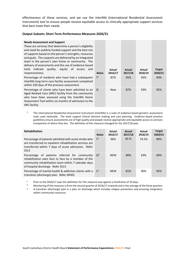effectiveness of these services, and we use the InterRAI (International Residential Assessment Instrument) tool to ensure people receive equitable access to clinically appropriate support services that best meet their needs.

#### **Output Subsets: Short Term Performance Measures 2020/21**

#### **Needs Assessment and Support**

These are services that determine a person's eligibility and need for publicly funded support and the best mix of supports based on the person's strengths, resources and goals. The supports are delivered by an integrated team in the person's own home or community. The delivery of assessments and the use of evidence-based tools indicate quality, equity of access and responsiveness.

Percentage of residents who have had a subsequent InterRAI long term care facility assessment completed within 230 days of the previous assessment.

Percentage of clients who have been admitted to an Aged Related Care (ARC) facility from the community who have been assessed using the InterRAI Home Assessment Tool within six months of admission to the ARC facility.

| <b>Notes</b>   | <b>Actual</b><br>2016/17 | Actual<br>2017/18 | Actual<br>2018/19 | <b>Target</b><br>2020/21 |
|----------------|--------------------------|-------------------|-------------------|--------------------------|
| T <sup>1</sup> | 87%                      | 95%               | 95%               | 90%                      |
| Q              | <b>New</b>               | 87%               | 93%               | 95%                      |

1. The International Residential Assessment Instrument (InterRAI) is a suite of evidence-based geriatric assessment tools used nationally. The tools support clinical decision making and care planning. Evidence-based practice guidelines ensure assessments are of high quality and people receive appropriate and equitable access to services irrespective of where they live. The definition of this measure changed for the 2017/18 year.

| <b>Rehabilitation</b>                                                                                                                                                                             | <b>Notes</b>   | Actual<br>2016/17 | Actual<br>2017/18 | Actual<br>2018/19 | <b>Target</b><br>2020/21 |
|---------------------------------------------------------------------------------------------------------------------------------------------------------------------------------------------------|----------------|-------------------|-------------------|-------------------|--------------------------|
| Percentage of patients admitted with acute stroke who<br>are transferred to inpatient rehabilitation services are<br>transferred within 7 days of acute admission. Refer<br>SS <sub>13</sub>      | $T^2$          | 96%               | 85 %              | 74.5%             | 80%                      |
| Percentage of patients referred for community<br>rehabilitation seen face to face by a member of the<br>community rehabilitation team within 7 calendar days<br>of hospital discharge. Refer SS13 | O <sup>3</sup> | <b>NEW</b>        | 80%               | 63%               | 60%                      |
| Percentage of mental health & addiction clients with a<br>transition (discharge) plan. Refer MH02                                                                                                 | $C^3$          | <b>NFW</b>        | 81%               | 80%               | 95%                      |

<sup>2.</sup> Prior to the 2016/17 year the definition for this measure was against a timeframe of 10 days.

<sup>3.</sup> Monitoring of this measure is from the second quarter of 2016/17 onwards and is the average of the three quarters  $\frac{1}{2}$ .

4. A transition (discharge) plan is a plan on discharge which includes relapse prevention and ensuring integration within community resources.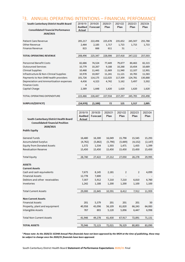# <span id="page-13-0"></span><sup>1</sup>3. ANNUAL OPERATING INTENTIONS – FINANCIAL PERFOMANCE

| South Canterbury District Health Board                 | 2018/19        | 2019/20         | 2020/21 | 2021/22 | 2022/23  | 2023/24  |
|--------------------------------------------------------|----------------|-----------------|---------|---------|----------|----------|
|                                                        | <b>Audited</b> | <b>Forecast</b> | Plan    | Plan    | Plan     | Plan     |
| <b>Consolidated Financial Performance</b><br>2020/2021 | <b>Actual</b>  |                 |         |         |          |          |
|                                                        |                |                 |         |         |          |          |
| <b>Patient Care Revenue</b>                            | 205,217        | 222,496         | 225,678 | 235,652 | 245,507  | 255,788  |
| Other Revenue                                          | 2,464          | 2,185           | 1,717   | 1,715   | 1,715    | 1,715    |
| <b>Finance Revenue</b>                                 | 815            | 666             | 611     | 51      |          |          |
| <b>TOTAL OPERATING REVENUE</b>                         | 208,496        | 225,347         | 228,006 | 237,418 | 247,222  | 257,503  |
|                                                        | $\omega$       | ÷.              | ÷.      | ÷       | Ξ        |          |
| <b>Personnel Benefit Costs</b>                         | 82,686         | 74,524          | 77,449  | 79,877  | 80,463   | 82,315   |
| <b>Outsourced Services</b>                             | 10,779         | 10,267          | 9,188   | 10,268  | 10,454   | 10,689   |
| <b>Clinical Supplies</b>                               | 10,468         | 11,443          | 11,669  | 11,940  | 12,107   | 12,901   |
| Infrastructure & Non-Clinical Supplies                 | 10,978         | 10,067          | 11,241  | 11,121  | 10,783   | 11,583   |
| Payments to Non DHB health providers                   | 101,726        | 114,175         | 112,025 | 117,309 | 124,781  | 130,888  |
| Depreciation and Ammortisation expenses                | 4,436          | 4,323           | 4,742   | 5,162   | 5,497    | 5,502    |
| <b>Finance Costs</b>                                   | 4              |                 |         |         |          |          |
| Capital Charge                                         | 2,389          | 1,648           | 1,620   | 1,620   | 1,620    | 1,620    |
| <b>TOTAL OPERATING EXPENDITURE</b>                     | 223,466        | 226,447         | 227,934 | 237,297 | 245,705  | 255,498  |
| <b>SURPLUS/(DEFICIT)</b>                               | (14, 970)      | (1, 100)        | 72      | 121     | 1,517    | 2,005    |
|                                                        |                |                 |         |         |          |          |
|                                                        | 2018/19        | 2019/20         | 2020/21 | 2021/22 | 2022/23  | 2023/24  |
|                                                        | <b>Audited</b> | <b>Forecast</b> | Plan    | Plan    | Plan     | Plan     |
| South Canterbury District Health Board                 | <b>Actual</b>  |                 |         |         |          |          |
| <b>Consolidated Financial Position</b><br>2020/2021    |                |                 |         |         |          |          |
| <b>Public Equity</b>                                   |                |                 |         |         |          |          |
|                                                        |                |                 |         |         |          |          |
| <b>General Funds</b>                                   | 16,480         | 16,300          | 16,049  | 15,798  | 15,545   | 15,293   |
| <b>Accumulated Surplus</b>                             | (4, 762)       | (5,862)         | (5,790) | (5,669) | (4, 152) | (2, 147) |
| <b>Equity from Donated Assets</b>                      | 1,572          | 1,534           | 1,503   | 1,471   | 1,435    | 1,399    |

| South Canterbury District Health Board | <b>Actual</b> |         |         |                          |                |          |
|----------------------------------------|---------------|---------|---------|--------------------------|----------------|----------|
| <b>Consolidated Financial Position</b> |               |         |         |                          |                |          |
| 2020/2021                              |               |         |         |                          |                |          |
| <b>Public Equity</b>                   |               |         |         |                          |                |          |
| <b>General Funds</b>                   | 16,480        | 16,300  | 16,049  | 15,798                   | 15,545         | 15,293   |
| <b>Accumulated Surplus</b>             | (4, 762)      | (5,862) | (5,790) | (5,669)                  | (4, 152)       | (2, 147) |
| <b>Equity from Donated Assets</b>      | 1,572         | 1,534   | 1,503   | 1,471                    | 1,435          | 1,399    |
| <b>Revaluation Reserve</b>             | 15,450        | 15,450  | 15,450  | 15,450                   | 15,450         | 15,450   |
| <b>Total Equity</b>                    | 28,740        | 27,422  | 27,212  | 27,050                   | 28,278         | 29,995   |
| <b>ASSETS</b>                          |               |         |         |                          |                |          |
| <b>Current Assets</b>                  |               |         |         |                          |                |          |
| Cash and cash equivalents              | 7,673         | 8,145   | 2,181   | $\overline{2}$           | $\overline{2}$ | 4,099    |
| <b>Financial Assets</b>                | 12,778        | 7,600   |         | $\overline{\phantom{a}}$ | ۰              |          |
| Debtors and other receivables          | 7,307         | 5,912   | 7,210   | 7,210                    | 6,810          | 6,760    |
| Invetories                             | 1,242         | 1,188   | 1,200   | 1,200                    | 1,100          | 1,100    |
| <b>Total Current Assets</b>            | 29,000        | 22,845  | 10,591  | 8,412                    | 7,912          | 11,959   |
| <b>Non Current Assets</b>              |               |         |         |                          |                |          |
| <b>Financial Assets</b>                | 201           | 5,379   | 201     | 201                      | 201            | 50       |
| Property, plant and equipment          | 40,958        | 43,096  | 56,109  | 61,820                   | 66,243         | 64,083   |
| <b>Intangible Assets</b>               | 787           | 803     | 5,120   | 5,896                    | 6,447          | 6,998    |
| <b>Total Non Current Assets</b>        | 41,946        | 49,278  | 61,430  | 67,917                   | 72,891         | 71,131   |
| <b>TOTAL ASSETS</b>                    | 70,946        | 72,123  | 72,021  | 76,329                   | 80,803         | 83,090   |

*<sup>1</sup>Please note: As the 2020/21 SCDHB Annual Plan financials have not been approved by the MOH at the time of publishing, these may be subject to change once the 2020/21 financials have been approved.*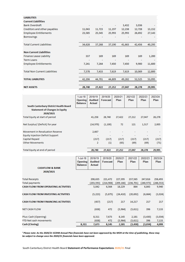| <b>LIABILITIES</b>                   |        |        |        |        |        |        |
|--------------------------------------|--------|--------|--------|--------|--------|--------|
| <b>Current Liabilities</b>           |        |        |        |        |        |        |
| <b>Bank Overdraft</b>                |        |        | ۰      | 3,432  | 3,036  |        |
| Creditors and other payables         | 11,043 | 11,723 | 11,197 | 12,238 | 12,728 | 13,152 |
| <b>Employee Entitlements</b>         | 23,585 | 25,545 | 25,993 | 25,993 | 26,692 | 27,143 |
| <b>Borrowings</b>                    |        |        |        |        |        |        |
|                                      |        |        |        |        |        |        |
| <b>Total Current Liabilities</b>     | 34,628 | 37,268 | 37,190 | 41,663 | 42,456 | 40,295 |
|                                      |        |        |        |        |        |        |
| <b>Non Current Liabilities</b>       |        |        |        |        |        |        |
| <b>Finance Lease Liability</b>       | 337    | 169    | 169    | 169    | 169    | 1,200  |
| <b>Term Loans</b>                    |        | ٠      |        |        |        |        |
| <b>Employee Entitlements</b>         | 7,241  | 7,264  | 7,450  | 7,450  | 9,900  | 11,600 |
|                                      |        |        |        |        |        |        |
| <b>Total Non Current Liabilities</b> | 7,578  | 7,433  | 7,619  | 7,619  | 10,069 | 12,800 |
|                                      |        |        |        |        |        |        |
| <b>TOTAL LIABILITIES</b>             | 42,206 | 44,701 | 44,809 | 49,282 | 52,525 | 53,095 |
|                                      |        |        |        |        |        |        |
| <b>NET ASSETS</b>                    | 28,740 | 27,422 | 27,212 | 27,047 | 28,278 | 29,995 |

| South Canterbury District Health Board             | $1$ -Jul-18<br><b>Opening</b><br><b>Balance</b> | 2018/19<br><b>Audited</b><br>Actual | 2019/20<br>Forecast | 2020/21<br>Plan          | 2021/22<br>Plan | 2022/23<br>Plan | 2023/24<br>Plan |
|----------------------------------------------------|-------------------------------------------------|-------------------------------------|---------------------|--------------------------|-----------------|-----------------|-----------------|
| <b>Statement of Changes in Equity</b><br>2020/2021 |                                                 |                                     |                     |                          |                 |                 |                 |
| Total Equity at start of period                    |                                                 | 41,258                              | 28,740              | 27,422                   | 27,212          | 27,047          | 28,278          |
| Net Surplus/ (Deficit) for year                    |                                                 | (14, 970)                           | (1,100)             | 72                       | 121             | 1,517           | 2,005           |
| Movement in Revaluation Reserve                    |                                                 | 2,667                               |                     | ۰                        |                 |                 |                 |
| <b>Equity Injection Deficit Support</b>            |                                                 | ۰                                   |                     | $\overline{\phantom{a}}$ |                 |                 |                 |
| <b>Capital Repaid</b>                              |                                                 | (217)                               | (217)               | (217)                    | (217)           | (217)           | (217)           |
| <b>Other Movements</b>                             |                                                 | 2                                   | (1)                 | (65)                     | (69)            | (69)            | (71)            |
| Total Equity at end of period                      |                                                 | 28,740                              | 27,422              | 27,212                   | 27,047          | 28,278          | 29,995          |

| <b>CASHFLOW &amp; BANK</b>                 | $1$ -Jul-18<br><b>Opening</b><br><b>Balance</b> | 2018/19<br><b>Audited</b><br><b>Actual</b> | 2019/20<br>Forecast | 2020/21<br>Plan | 2021/22<br>Plan | 2022/23<br>Plan | 2023/24<br>Plan |
|--------------------------------------------|-------------------------------------------------|--------------------------------------------|---------------------|-----------------|-----------------|-----------------|-----------------|
| 2020/2021                                  |                                                 |                                            |                     |                 |                 |                 |                 |
| <b>Total Receipts</b>                      |                                                 | 208,635                                    | 221,472             | 227,395         | 237,565         | 247,816         | 258,493         |
| <b>Total payments</b>                      |                                                 | (203, 593)                                 | (214,908)           | (209,166)       | (236,701)       | (240,973)       | (248,553)       |
| <b>CASH FLOW FROM OPERATING ACTIVITIES</b> |                                                 | 5,042                                      | 6,564               | 18,229          | 864             | 6,843           | 9,940           |
| <b>CASH FLOW FROM INVESTING ACTIVITIES</b> |                                                 | (5,223)                                    | (5, 875)            | (24, 410)       | (20, 692)       | (6, 664)        | (3,024)         |
| <b>CASH FLOW FROM FINANCING ACTIVITIES</b> |                                                 | (457)                                      | (217)               | 217             | 14,217          | 217             | 217             |
| <b>NET CASH FLOW</b>                       |                                                 | (638)                                      | 472                 | (5,964)         | (5,611)         | 396             | 7,133           |
| Plus: Cash (Opening)                       |                                                 | 8,311                                      | 7,673               | 8,145           | 2,181           | (3, 430)        | (3,034)         |
| <b>YTD Net cash movements</b>              |                                                 | (638)                                      | 472                 | (5,964)         | (5, 611)        | 396             | 7,133           |
| Cash (Closing)                             | 8,311                                           | 7,673                                      | 8,145               | 2,181           | (3, 430)        | (3,034)         | 4,099           |

*<sup>1</sup>Please note: As the 2020/21 SCDHB Annual Plan financials have not been approved by the MOH at the time of publishing, these may be subject to change once the 2020/21 financials have been approved.*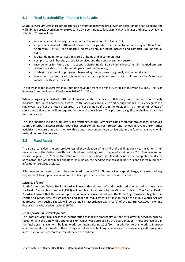# <span id="page-15-0"></span>**3.1 Fiscal Sustainability - Planned Net Results**

South Canterbury District Health Board has a history of achieving breakeven or better on its financial plans and will submit a break-even plan for 2019/20. The DHB continues to face significant challenges and risks to achieving this plan. These include:

- indicative annual funding increases are at the minimum level years 2-4;
- employee industrial settlements have been negotiated for the sector at rates higher than South Canterbury District Health Board's indicative annual funding increase and comprise 68% of annual costs;
- greater demand for services delivered at home and in communities;
- cost pressures in hospital, specialist services and the non-government sector;
- reserve funds for future years to support District Health Board capital investment in the medium term and/or provide an organisational operational contingency;
- strategic investment to progress integrated system approach regionally and nationally; and
- investment for improved outcomes in specific population groups e.g. child and youth, Māori and mental health service clients.

The allowance for cost growth in our funding envelope from the Ministry of Health this year is 3.48%. This is an increase from the Funding Envelope in 2019/20 of \$6.4m.

When recognising industrial settlement pressures, step increases, inflationary and other cost and quality pressures, the South Canterbury District Health Board was not able to find enough financial efficiency gains in a single year to offset the noted pressures. To offset planned deficits in the Provider Arm, a number of reviews of service reconfiguration will be required to lower the cost base. This presents a significant challenge over the next two years.

The Plan financials include productivity and efficiency savings. Savings will be generated through local initiatives. South Canterbury District Health Board has been containing cost growth and reviewing revenue from other activities to ensure that over the next three years we can continue to live within the funding available while maintaining service delivery.

# <span id="page-15-1"></span>**3.2 Fixed Assets**

The Board considers the appropriateness of the valuation of its land and buildings each year in June. A full revaluation of the District Health Board land and buildings was completed as at June 2016. This revaluation realised a gain of \$1.21m on the value of District Health Board assets and included the completed works for Kensington, the Gardens Block, the Records Building, the pending changes at Talbot Park and a large number of information services projects.

A full revaluation is next due to be completed in June 2019. No impact on capital charge, as a result of any requirement to adopt a new valuation, has been provided in either income or expenditure.

#### *Disposal of Land*

South Canterbury District Health Board will ensure that disposal of land transferred to or vested in pursuant to the Health Sector (Transfers) Act (1993) will be subject to approval by the Minister of Health. The District Health Board will ensure that the relevant protection mechanisms that address the Crown's governance obligations in relation to Māori sites of significance and that the requirements of section 40 of the Public Works Act are addressed. Any such disposals will be planned in accordance with s42 (2) of the NZPHD Act 2000. No land disposals have been planned in 2019/20.

#### *Front of Hospital Redevelopment*

The Front of Hospital business case incorporating changes to emergency, outpatients, day stay services, hospital reception and the Café with a spend of \$7m, which was approved by the Board in 2015. These projects are in the final design stage, with building works continuing during 2019/20. In addition to this, work to improve environmental components of the existing central services building is underway to ensure energy efficiency, site infrastructure and preventative maintenance are optimal.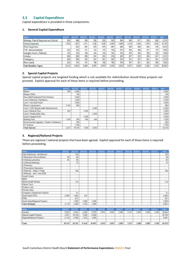# <span id="page-16-0"></span>**3.3 Capital Expenditure**

Capital expenditure is provided in three components:

#### **1. General Capital Expenditure**

| <b>S000s</b>                               | 2020/21 | 2021/22 | 2022/23 | 2023/24 | 2024/25 | 2025/26 | 2026/27 | 2027/26 | 2028/29 | 2029/30 | 2030/31 | Total  |
|--------------------------------------------|---------|---------|---------|---------|---------|---------|---------|---------|---------|---------|---------|--------|
| Buildings, Plant & Equipment excl Clinical | 295     | 366     | 250     | 250     | 250     | 255     | 260     | 265     | 271     | 276     | 282     | 2.725  |
| Clinical Equipment                         | 225     | 261     | 1,411   | 1.430   | ,430    | 1,459   | 1,488   | 518     | 548     | 1,579   | .610    | 14,733 |
| Other Equipments                           |         | 232     | 267     | 275     | 275     | 281     | 286     | 292     | 298     | 304     | 310     | 2.818  |
| IT/IS - devices/hardware                   | 452     | 145     | 151     | 155     | 155     | 158     | 161     | 164     | 168     | 171     | 175     | 1.603  |
| Intangible Assets (Software)               | 153     | 134     | 140     | 144     | 144     | 147     | 150     | 153     | 156     | 159     | 162     | 1,489  |
| Vehicles                                   | 204     | 200     | 208     | 214     | 214     | 218     | 223     | 227     | 232     | 236     | 241     | 2213   |
| Contingency                                | 260     | 300     | 312     | 321     | 321     | 327     | 334     | 341     | 347     | 354     | 361     | 3.319  |
| Minor capital                              | 223     | 174     | 181     | 186     | 186     | 190     | 194     | 197     | 201     | 205     | 209     | 1.924  |
| <b>Total Baseline Capex</b>                | 2.812   | 2.812   | 2.920   | 2975    | 2.975   | 3.035   | 3.095   | 3.157   | 3.220   | 3.285   | 3.350   | 30.824 |

# **2. Special Capital Projects**

Special capital projects are targeted funding which is not available for redistribution should these projects not proceed. Explicit approval for each of these items is required before proceeding.

| \$000s                                        | 2020/21 | 2021/22 | 2022/23 | 2023/24 | 2024/25 | 2025/26 2025/27 |        | 2077/28 | 202073 | 2029/30 2030/31 | <b>Lotal</b> |
|-----------------------------------------------|---------|---------|---------|---------|---------|-----------------|--------|---------|--------|-----------------|--------------|
| <b>Boders</b>                                 | 204     | 4.000   | c       |         |         | 91              | D      |         | ÷      |                 | 4,000        |
| Morgue Chiller                                |         | 150     |         |         |         |                 |        |         |        |                 | 150          |
| New Café/Outpatients/Front Entrance           |         | 3,500   |         |         |         |                 |        |         |        |                 | 3,500        |
| Level 2 Maternity/ Paediatrics                |         | 3,500   |         |         |         |                 |        |         |        |                 | 3,500        |
| Level 1 new Build Ward                        |         | 3.800   |         |         |         |                 |        |         |        |                 | 3,800        |
| Stores/ maintenance                           | 3,104   | 800     |         |         |         |                 |        |         |        |                 | 800          |
| Level 1 ATR/ Mental health Refurbishment      |         |         |         | 2.500   |         |                 |        |         |        |                 | 2.500        |
| Level 3 Medical Floor                         | 623     |         | 3,500   |         |         |                 |        |         |        |                 | 3,500        |
| Level 4 Theatres/Day Stay                     |         |         |         | 3,500   |         |                 |        |         |        |                 | 3,500        |
| Level 5 Surgical Floor                        |         |         | 3,500   |         |         |                 |        |         |        |                 | 3,500        |
| Building Fees                                 | 1.320   | 500     | 500     | 500     |         |                 |        |         |        |                 | 1,500        |
| Environmental Upgrades (Theatre Ventiliation) |         | 200     |         |         |         |                 |        |         |        |                 | 200          |
| CT Scanner                                    |         | 1,700   |         |         |         |                 |        |         |        |                 | 1,700        |
| <b>Total Special</b>                          | 5.251   | 18,150  | 7,500   | 6,500   |         | $\sim$          | $\sim$ |         | $\sim$ |                 | 32.150       |

#### **3. Regional/National Projects**

These are regional / national projects that have been agreed. Explicit approval for each of these items is required before proceeding.

| SCOUs.                          | 2020/21                  | 2021/22 | 2022/23 | 2023/24 | 2024/25 | 2025/26 | 2026/27 2027/28 2028/29 |        |        | 2029/30 | 2030/31 | Total  |
|---------------------------------|--------------------------|---------|---------|---------|---------|---------|-------------------------|--------|--------|---------|---------|--------|
| Data Warehouse / architecture   | ÷                        | 150     |         |         |         |         |                         |        |        |         |         | 150    |
| E-Medication Reconciliations    | 48                       | 48      |         |         |         |         |                         |        |        |         |         | 48     |
| E-Ordering Laboratory           | 64                       | 64      |         |         |         |         |                         |        |        |         |         | 64     |
| E-Ordering Radiology            | $\sim$                   | 75      |         |         |         |         |                         |        |        |         |         | 75     |
| E-Pharmacy                      | ×                        | $\sim$  |         |         |         |         |                         |        |        |         |         | $\sim$ |
| E-Prescription Repository       | $\sim$                   | $\sim$  |         |         |         |         |                         |        |        |         |         | $\sim$ |
| E-Referrals - Stage 3 Triage    | $\sim$                   | 106     |         |         |         |         |                         |        |        |         |         | 106    |
| E-Referrals - Inter / Intra DHB | $\overline{\phantom{a}}$ | w.      |         |         |         |         |                         |        |        |         |         | w.     |
| Growth Charts                   | $\sim$                   | $\sim$  |         |         |         |         |                         |        |        |         |         | $\sim$ |
| MDM                             | ×.                       | $\sim$  |         |         |         |         |                         |        |        |         |         | $\sim$ |
| Mental Health Module            | $\sim$                   | 112     |         |         |         |         |                         |        |        |         |         | 112    |
| Patient Track                   | $\sim$                   | $\sim$  |         |         |         |         |                         |        |        |         |         | $\sim$ |
| Problem Lists                   | $\sim$                   | $\sim$  |         |         |         |         |                         |        |        |         |         | ÷      |
| Provider Index                  | ÷                        | ÷       |         |         |         |         |                         |        |        |         |         | ÷      |
| Emergency Department Solution   | $\sim$                   | 51      |         |         |         |         |                         |        |        |         |         | 51     |
| South Island PICS               | 2.000                    | 1.852   | 212     |         |         |         |                         |        |        |         |         | 2,064  |
| <b>FPIM</b>                     |                          | 931     |         |         |         |         |                         |        |        |         |         | 931    |
| South Island/Regional Projects  |                          | 1,000   | 1,000   | 1,000   |         |         |                         |        |        |         |         | 3,000  |
| <b>Total Strategic</b>          | 2.112                    | 4.389   | 1.212   | 1,000   | $\sim$  | $\sim$  | $\sim$                  | $\sim$ | $\sim$ | $\sim$  | $\sim$  | 6,601  |

|                            |         |        |        |        |       |       |       |       |       |       |       | mail    |
|----------------------------|---------|--------|--------|--------|-------|-------|-------|-------|-------|-------|-------|---------|
| General                    | 2.812   | 2.812  | 2.920  | 2.975  | 2.975 | 3,035 | 3,095 | 3.157 | 3,220 | 3.285 | 3,350 | 30,824  |
| Special Capital Projects   | 5 2 5 1 | 18,150 | 7.500  | 6,500  |       |       |       |       |       |       |       | 32, 150 |
| Regional/National Projects | 2.112   | 4.389  | 1.212  | .000.  |       |       |       | -     |       |       |       | 6,601   |
| Total                      | 10,175  | 25,351 | 11,632 | 10,475 | 2,975 | 3,035 | 3,095 | 3,157 | 3,220 | 3,285 | 3,350 | 69,575  |